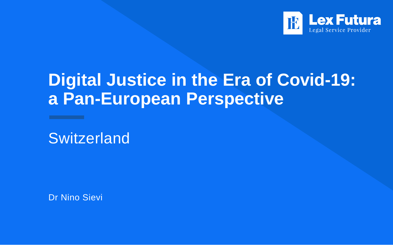

# **Digital Justice in the Era of Covid-19: a Pan-European Perspective**

**Switzerland** 

Dr Nino Sievi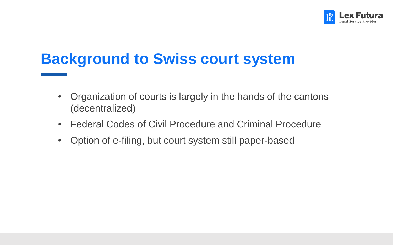

### **Background to Swiss court system**

- Organization of courts is largely in the hands of the cantons (decentralized)
- Federal Codes of Civil Procedure and Criminal Procedure
- Option of e-filing, but court system still paper-based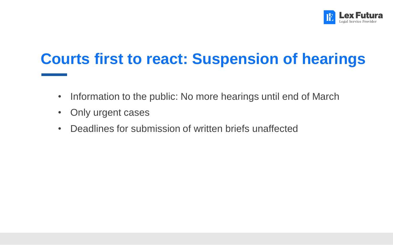

## **Courts first to react: Suspension of hearings**

- Information to the public: No more hearings until end of March
- Only urgent cases
- Deadlines for submission of written briefs unaffected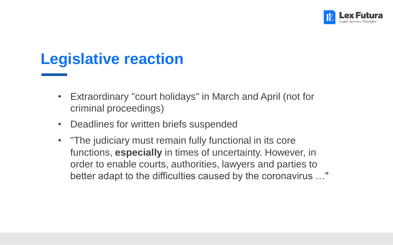

#### **Legislative reaction**

- Extraordinary "court holidays" in March and April (not for criminal proceedings)
- Deadlines for written briefs suspended
- "The judiciary must remain fully functional in its core functions, **especially** in times of uncertainty. However, in order to enable courts, authorities, lawyers and parties to better adapt to the difficulties caused by the coronavirus …"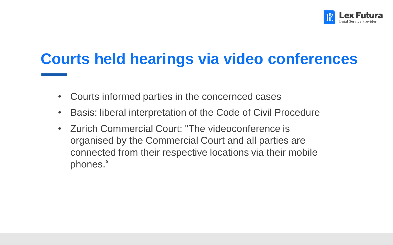

### **Courts held hearings via video conferences**

- Courts informed parties in the concernced cases
- Basis: liberal interpretation of the Code of Civil Procedure
- Zurich Commercial Court: "The videoconference is organised by the Commercial Court and all parties are connected from their respective locations via their mobile phones."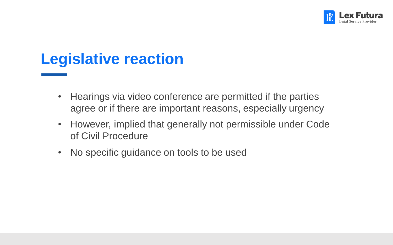

#### **Legislative reaction**

- Hearings via video conference are permitted if the parties agree or if there are important reasons, especially urgency
- However, implied that generally not permissible under Code of Civil Procedure
- No specific guidance on tools to be used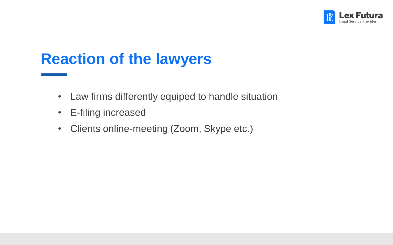

#### **Reaction of the lawyers**

- Law firms differently equiped to handle situation
- E-filing increased
- Clients online-meeting (Zoom, Skype etc.)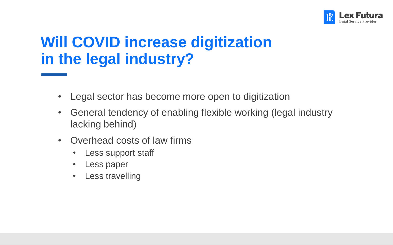

### **Will COVID increase digitization in the legal industry?**

- Legal sector has become more open to digitization
- General tendency of enabling flexible working (legal industry lacking behind)
- Overhead costs of law firms
	- Less support staff
	- Less paper
	- Less travelling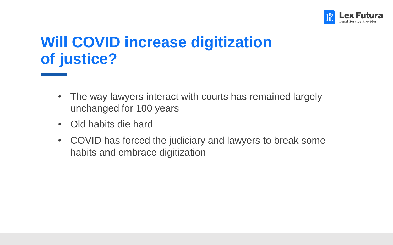

# **Will COVID increase digitization of justice?**

- The way lawyers interact with courts has remained largely unchanged for 100 years
- Old habits die hard
- COVID has forced the judiciary and lawyers to break some habits and embrace digitization